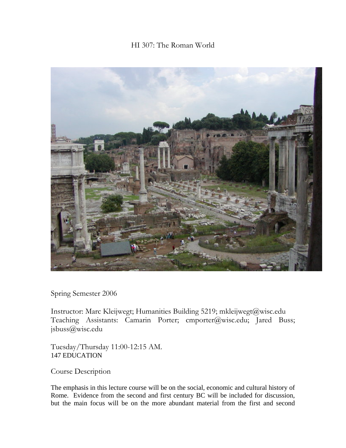# HI 307: The Roman World



Spring Semester 2006

Instructor: Marc Kleijwegt; Humanities Building 5219; mkleijwegt@wisc.edu Teaching Assistants: Camarin Porter; cmporter@wisc.edu; Jared Buss; jsbuss@wisc.edu

Tuesday/Thursday 11:00-12:15 AM. 147 EDUCATION

Course Description

The emphasis in this lecture course will be on the social, economic and cultural history of Rome. Evidence from the second and first century BC will be included for discussion, but the main focus will be on the more abundant material from the first and second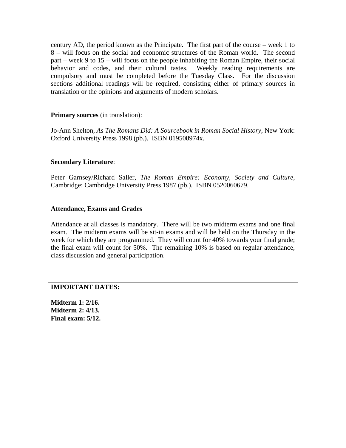century AD, the period known as the Principate. The first part of the course – week 1 to 8 – will focus on the social and economic structures of the Roman world. The second part – week 9 to 15 – will focus on the people inhabiting the Roman Empire, their social behavior and codes, and their cultural tastes. Weekly reading requirements are compulsory and must be completed before the Tuesday Class. For the discussion sections additional readings will be required, consisting either of primary sources in translation or the opinions and arguments of modern scholars.

#### **Primary sources** (in translation):

Jo-Ann Shelton, *As The Romans Did: A Sourcebook in Roman Social History*, New York: Oxford University Press 1998 (pb.). ISBN 019508974x.

### **Secondary Literature**:

Peter Garnsey/Richard Saller, *The Roman Empire: Economy, Society and Culture*, Cambridge: Cambridge University Press 1987 (pb.). ISBN 0520060679.

### **Attendance, Exams and Grades**

Attendance at all classes is mandatory. There will be two midterm exams and one final exam. The midterm exams will be sit-in exams and will be held on the Thursday in the week for which they are programmed. They will count for 40% towards your final grade; the final exam will count for 50%. The remaining 10% is based on regular attendance, class discussion and general participation.

## **IMPORTANT DATES:**

**Midterm 1: 2/16. Midterm 2: 4/13. Final exam: 5/12.**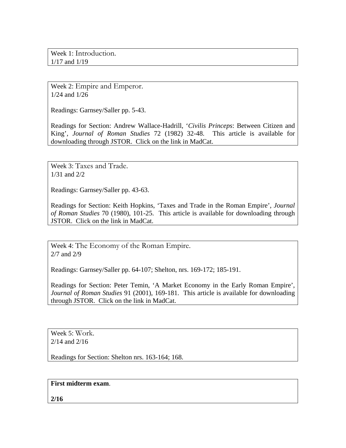Week 1: Introduction. 1/17 and 1/19

Week 2: Empire and Emperor. 1/24 and 1/26

Readings: Garnsey/Saller pp. 5-43.

Readings for Section: Andrew Wallace-Hadrill, '*Civilis Princeps*: Between Citizen and King', *Journal of Roman Studies* 72 (1982) 32-48. This article is available for downloading through JSTOR. Click on the link in MadCat.

Week 3: Taxes and Trade. 1/31 and 2/2

Readings: Garnsey/Saller pp. 43-63.

Readings for Section: Keith Hopkins, 'Taxes and Trade in the Roman Empire', *Journal of Roman Studies* 70 (1980), 101-25. This article is available for downloading through JSTOR. Click on the link in MadCat.

Week 4: The Economy of the Roman Empire. 2/7 and 2/9

Readings: Garnsey/Saller pp. 64-107; Shelton, nrs. 169-172; 185-191.

Readings for Section: Peter Temin, 'A Market Economy in the Early Roman Empire', *Journal of Roman Studies* 91 (2001), 169-181. This article is available for downloading through JSTOR. Click on the link in MadCat.

Week 5: Work. 2/14 and 2/16

Readings for Section: Shelton nrs. 163-164; 168.

**First midterm exam**.

**2/16**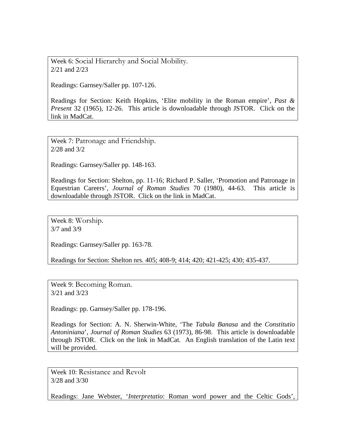Week 6: Social Hierarchy and Social Mobility. 2/21 and 2/23

Readings: Garnsey/Saller pp. 107-126.

Readings for Section: Keith Hopkins, 'Elite mobility in the Roman empire', *Past & Present* 32 (1965), 12-26. This article is downloadable through JSTOR. Click on the link in MadCat.

Week 7: Patronage and Friendship. 2/28 and 3/2

Readings: Garnsey/Saller pp. 148-163.

Readings for Section: Shelton, pp. 11-16; Richard P. Saller, 'Promotion and Patronage in Equestrian Careers', *Journal of Roman Studies* 70 (1980), 44-63. This article is downloadable through JSTOR. Click on the link in MadCat.

Week 8: Worship. 3/7 and 3/9

Readings: Garnsey/Saller pp. 163-78.

Readings for Section: Shelton nrs. 405; 408-9; 414; 420; 421-425; 430; 435-437.

Week 9: Becoming Roman. 3/21 and 3/23

Readings: pp. Garnsey/Saller pp. 178-196.

Readings for Section: A. N. Sherwin-White, 'The *Tabula Banasa* and the *Constitutio Antoniniana*', *Journal of Roman Studies* 63 (1973), 86-98. This article is downloadable through JSTOR. Click on the link in MadCat. An English translation of the Latin text will be provided.

Week 10: Resistance and Revolt 3/28 and 3/30

Readings: Jane Webster, '*Interpretatio*: Roman word power and the Celtic Gods',